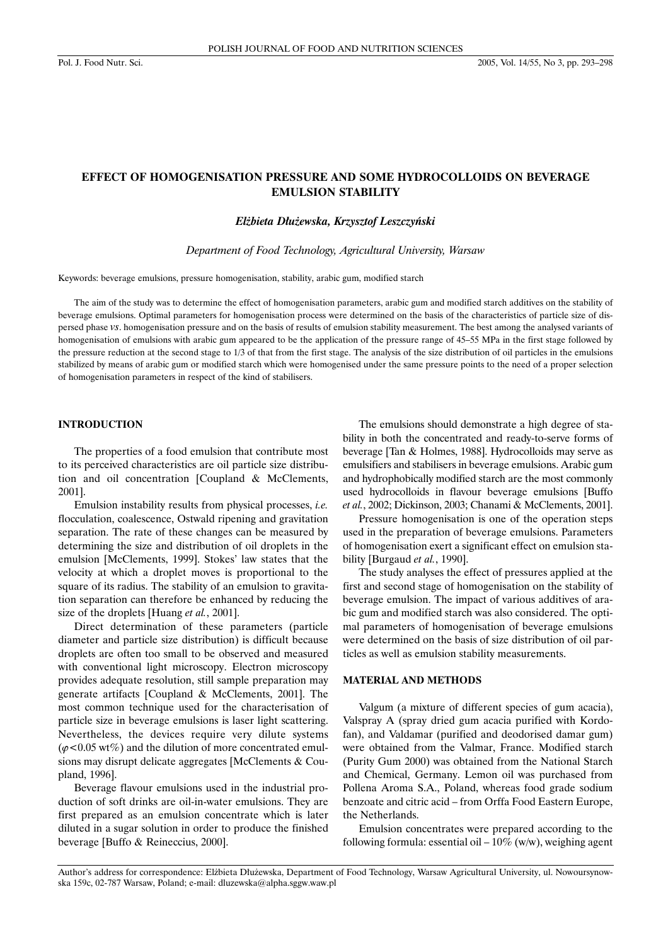# **EFFECT OF HOMOGENISATION PRESSURE AND SOME HYDROCOLLOIDS ON BEVERAGE EMULSION STABILITY**

#### *El¿bieta D³u¿ewska, Krzysztof Leszczyñski*

*Department of Food Technology, Agricultural University, Warsaw*

Keywords: beverage emulsions, pressure homogenisation, stability, arabic gum, modified starch

The aim of the study was to determine the effect of homogenisation parameters, arabic gum and modified starch additives on the stability of beverage emulsions. Optimal parameters for homogenisation process were determined on the basis of the characteristics of particle size of dispersed phase *vs*. homogenisation pressure and on the basis of results of emulsion stability measurement. The best among the analysed variants of homogenisation of emulsions with arabic gum appeared to be the application of the pressure range of 45–55 MPa in the first stage followed by the pressure reduction at the second stage to 1/3 of that from the first stage. The analysis of the size distribution of oil particles in the emulsions stabilized by means of arabic gum or modified starch which were homogenised under the same pressure points to the need of a proper selection of homogenisation parameters in respect of the kind of stabilisers.

## **INTRODUCTION**

The properties of a food emulsion that contribute most to its perceived characteristics are oil particle size distribution and oil concentration [Coupland & McClements, 2001].

Emulsion instability results from physical processes, *i.e.* flocculation, coalescence, Ostwald ripening and gravitation separation. The rate of these changes can be measured by determining the size and distribution of oil droplets in the emulsion [McClements, 1999]. Stokes' law states that the velocity at which a droplet moves is proportional to the square of its radius. The stability of an emulsion to gravitation separation can therefore be enhanced by reducing the size of the droplets [Huang *et al.*, 2001].

Direct determination of these parameters (particle diameter and particle size distribution) is difficult because droplets are often too small to be observed and measured with conventional light microscopy. Electron microscopy provides adequate resolution, still sample preparation may generate artifacts [Coupland & McClements, 2001]. The most common technique used for the characterisation of particle size in beverage emulsions is laser light scattering. Nevertheless, the devices require very dilute systems  $(\varphi$ <0.05 wt%) and the dilution of more concentrated emulsions may disrupt delicate aggregates [McClements & Coupland, 1996].

Beverage flavour emulsions used in the industrial production of soft drinks are oil-in-water emulsions. They are first prepared as an emulsion concentrate which is later diluted in a sugar solution in order to produce the finished beverage [Buffo & Reineccius, 2000].

The emulsions should demonstrate a high degree of stability in both the concentrated and ready-to-serve forms of beverage [Tan & Holmes, 1988]. Hydrocolloids may serve as emulsifiers and stabilisers in beverage emulsions. Arabic gum and hydrophobically modified starch are the most commonly used hydrocolloids in flavour beverage emulsions [Buffo *et al.*, 2002; Dickinson, 2003; Chanami & McClements, 2001].

Pressure homogenisation is one of the operation steps used in the preparation of beverage emulsions. Parameters of homogenisation exert a significant effect on emulsion stability [Burgaud *et al.*, 1990].

The study analyses the effect of pressures applied at the first and second stage of homogenisation on the stability of beverage emulsion. The impact of various additives of arabic gum and modified starch was also considered. The optimal parameters of homogenisation of beverage emulsions were determined on the basis of size distribution of oil particles as well as emulsion stability measurements.

# **MATERIAL AND METHODS**

Valgum (a mixture of different species of gum acacia), Valspray A (spray dried gum acacia purified with Kordofan), and Valdamar (purified and deodorised damar gum) were obtained from the Valmar, France. Modified starch (Purity Gum 2000) was obtained from the National Starch and Chemical, Germany. Lemon oil was purchased from Pollena Aroma S.A., Poland, whereas food grade sodium benzoate and citric acid – from Orffa Food Eastern Europe, the Netherlands.

Emulsion concentrates were prepared according to the following formula: essential oil –  $10\%$  (w/w), weighing agent

Author's address for correspondence: Elżbieta Dłużewska, Department of Food Technology, Warsaw Agricultural University, ul. Nowoursynowska 159c, 02-787 Warsaw, Poland; e-mail: dluzewska@alpha.sggw.waw.pl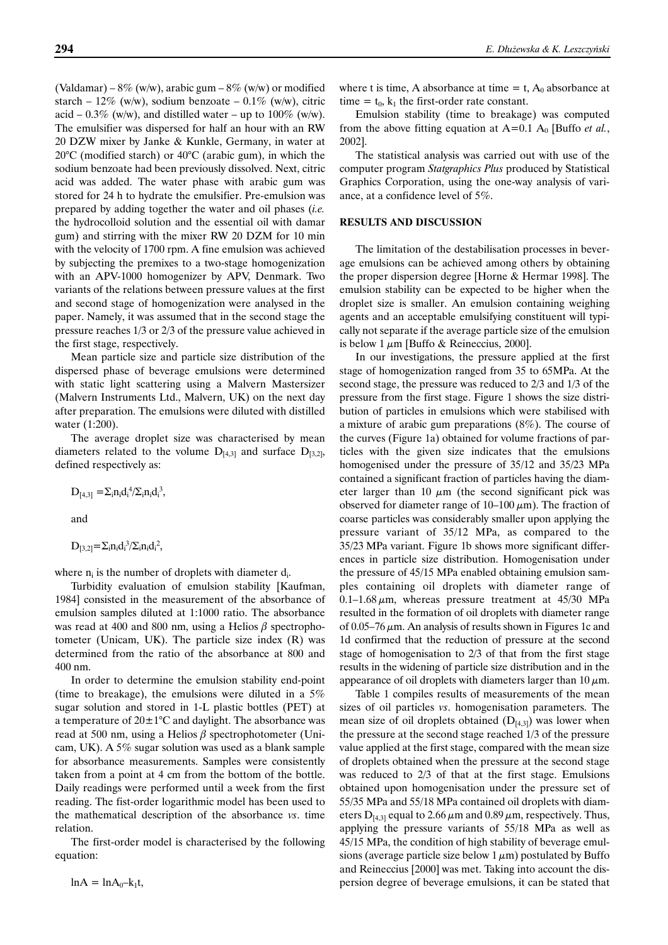(Valdamar) –  $8\%$  (w/w), arabic gum –  $8\%$  (w/w) or modified starch –  $12\%$  (w/w), sodium benzoate –  $0.1\%$  (w/w), citric acid – 0.3% (w/w), and distilled water – up to  $100\%$  (w/w). The emulsifier was dispersed for half an hour with an RW 20 DZW mixer by Janke & Kunkle, Germany, in water at 20°C (modified starch) or 40°C (arabic gum), in which the sodium benzoate had been previously dissolved. Next, citric acid was added. The water phase with arabic gum was stored for 24 h to hydrate the emulsifier. Pre-emulsion was prepared by adding together the water and oil phases (*i.e.* the hydrocolloid solution and the essential oil with damar gum) and stirring with the mixer RW 20 DZM for 10 min with the velocity of 1700 rpm. A fine emulsion was achieved by subjecting the premixes to a two-stage homogenization with an APV-1000 homogenizer by APV, Denmark. Two variants of the relations between pressure values at the first and second stage of homogenization were analysed in the paper. Namely, it was assumed that in the second stage the pressure reaches 1/3 or 2/3 of the pressure value achieved in the first stage, respectively.

Mean particle size and particle size distribution of the dispersed phase of beverage emulsions were determined with static light scattering using a Malvern Mastersizer (Malvern Instruments Ltd., Malvern, UK) on the next day after preparation. The emulsions were diluted with distilled water (1:200).

The average droplet size was characterised by mean diameters related to the volume  $D_{[4,3]}$  and surface  $D_{[3,2]}$ , defined respectively as:

 $D_{[4,3]} = \sum_{i} n_i d_i^4 / \sum_{i} n_i d_i^3$ 

and

$$
D_{[3,2]} = \Sigma_i n_i d_i^3 / \Sigma_i n_i d_i^2,
$$

where  $n_i$  is the number of droplets with diameter  $d_i$ .

Turbidity evaluation of emulsion stability [Kaufman, 1984] consisted in the measurement of the absorbance of emulsion samples diluted at 1:1000 ratio. The absorbance was read at 400 and 800 nm, using a Helios  $\beta$  spectrophotometer (Unicam, UK). The particle size index (R) was determined from the ratio of the absorbance at 800 and 400 nm.

In order to determine the emulsion stability end-point (time to breakage), the emulsions were diluted in a 5% sugar solution and stored in 1-L plastic bottles (PET) at a temperature of  $20 \pm 1^{\circ}$ C and daylight. The absorbance was read at 500 nm, using a Helios  $\beta$  spectrophotometer (Unicam, UK). A 5% sugar solution was used as a blank sample for absorbance measurements. Samples were consistently taken from a point at 4 cm from the bottom of the bottle. Daily readings were performed until a week from the first reading. The fist-order logarithmic model has been used to the mathematical description of the absorbance *vs*. time relation.

The first-order model is characterised by the following equation:

 $ln A = ln A_0 - k_1t$ ,

where t is time, A absorbance at time  $=$  t,  $A_0$  absorbance at time =  $t_0$ ,  $k_1$  the first-order rate constant.

Emulsion stability (time to breakage) was computed from the above fitting equation at  $A=0.1 A_0$  [Buffo *et al.*, 2002].

The statistical analysis was carried out with use of the computer program *Statgraphics Plus* produced by Statistical Graphics Corporation, using the one-way analysis of variance, at a confidence level of 5%.

# **RESULTS AND DISCUSSION**

The limitation of the destabilisation processes in beverage emulsions can be achieved among others by obtaining the proper dispersion degree [Horne & Hermar 1998]. The emulsion stability can be expected to be higher when the droplet size is smaller. An emulsion containing weighing agents and an acceptable emulsifying constituent will typically not separate if the average particle size of the emulsion is below 1  $\mu$ m [Buffo & Reineccius, 2000].

In our investigations, the pressure applied at the first stage of homogenization ranged from 35 to 65MPa. At the second stage, the pressure was reduced to 2/3 and 1/3 of the pressure from the first stage. Figure 1 shows the size distribution of particles in emulsions which were stabilised with a mixture of arabic gum preparations (8%). The course of the curves (Figure 1a) obtained for volume fractions of particles with the given size indicates that the emulsions homogenised under the pressure of 35/12 and 35/23 MPa contained a significant fraction of particles having the diameter larger than 10  $\mu$ m (the second significant pick was observed for diameter range of  $10-100 \mu m$ ). The fraction of coarse particles was considerably smaller upon applying the pressure variant of 35/12 MPa, as compared to the 35/23 MPa variant. Figure 1b shows more significant differences in particle size distribution. Homogenisation under the pressure of 45/15 MPa enabled obtaining emulsion samples containing oil droplets with diameter range of 0.1–1.68  $\mu$ m, whereas pressure treatment at 45/30 MPa resulted in the formation of oil droplets with diameter range of 0.05–76  $\mu$ m. An analysis of results shown in Figures 1c and 1d confirmed that the reduction of pressure at the second stage of homogenisation to 2/3 of that from the first stage results in the widening of particle size distribution and in the appearance of oil droplets with diameters larger than 10  $\mu$ m.

Table 1 compiles results of measurements of the mean sizes of oil particles *vs*. homogenisation parameters. The mean size of oil droplets obtained  $(D<sub>[4,3]</sub>)$  was lower when the pressure at the second stage reached 1/3 of the pressure value applied at the first stage, compared with the mean size of droplets obtained when the pressure at the second stage was reduced to 2/3 of that at the first stage. Emulsions obtained upon homogenisation under the pressure set of 55/35 MPa and 55/18 MPa contained oil droplets with diameters  $D_{[4,3]}$  equal to 2.66  $\mu$ m and 0.89  $\mu$ m, respectively. Thus, applying the pressure variants of 55/18 MPa as well as 45/15 MPa, the condition of high stability of beverage emulsions (average particle size below  $1 \mu m$ ) postulated by Buffo and Reineccius [2000] was met. Taking into account the dispersion degree of beverage emulsions, it can be stated that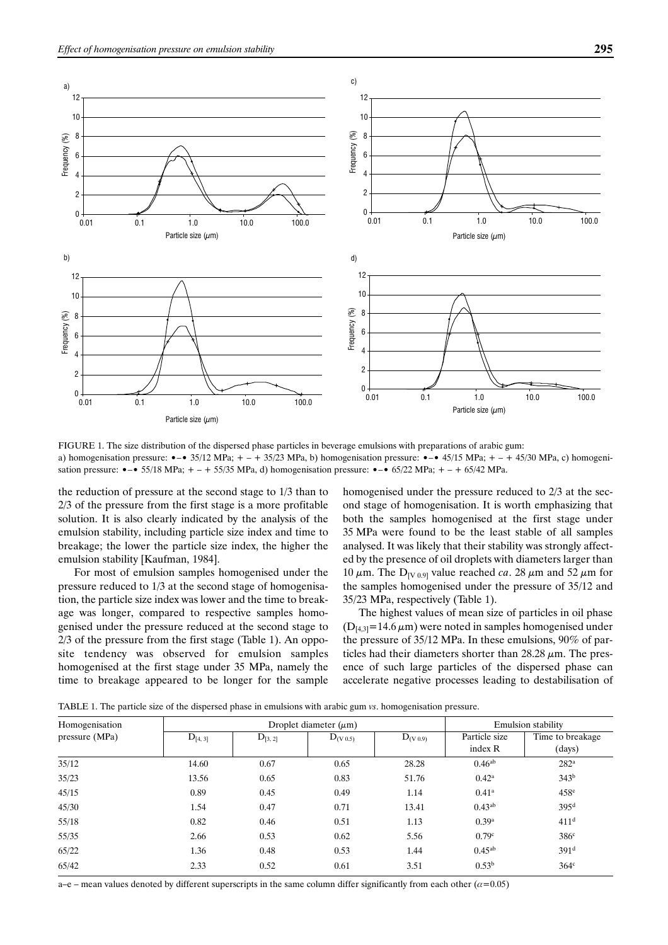

FIGURE 1. The size distribution of the dispersed phase particles in beverage emulsions with preparations of arabic gum: a) homogenisation pressure:  $\bullet - \bullet$  35/12 MPa;  $+ - + 35/23$  MPa, b) homogenisation pressure:  $\bullet - \bullet$  45/15 MPa;  $+ - + 45/30$  MPa, c) homogenisation pressure:  $\bullet - \bullet$  55/18 MPa;  $+ - +$  55/35 MPa, d) homogenisation pressure:  $\bullet - \bullet$  65/22 MPa;  $+ - +$  65/42 MPa.

the reduction of pressure at the second stage to 1/3 than to 2/3 of the pressure from the first stage is a more profitable solution. It is also clearly indicated by the analysis of the emulsion stability, including particle size index and time to breakage; the lower the particle size index, the higher the emulsion stability [Kaufman, 1984].

For most of emulsion samples homogenised under the pressure reduced to 1/3 at the second stage of homogenisation, the particle size index was lower and the time to breakage was longer, compared to respective samples homogenised under the pressure reduced at the second stage to 2/3 of the pressure from the first stage (Table 1). An opposite tendency was observed for emulsion samples homogenised at the first stage under 35 MPa, namely the time to breakage appeared to be longer for the sample homogenised under the pressure reduced to 2/3 at the second stage of homogenisation. It is worth emphasizing that both the samples homogenised at the first stage under 35 MPa were found to be the least stable of all samples analysed. It was likely that their stability was strongly affected by the presence of oil droplets with diameters larger than 10  $\mu$ m. The D<sub>IV 0.91</sub> value reached *ca*. 28  $\mu$ m and 52  $\mu$ m for the samples homogenised under the pressure of 35/12 and 35/23 MPa, respectively (Table 1).

The highest values of mean size of particles in oil phase  $(D<sub>[4,3]</sub> = 14.6 \mu m)$  were noted in samples homogenised under the pressure of 35/12 MPa. In these emulsions, 90% of particles had their diameters shorter than  $28.28 \mu m$ . The presence of such large particles of the dispersed phase can accelerate negative processes leading to destabilisation of

| Homogenisation |             | Droplet diameter $(\mu m)$ | <b>Emulsion stability</b> |                            |                   |                  |
|----------------|-------------|----------------------------|---------------------------|----------------------------|-------------------|------------------|
| pressure (MPa) | $D_{[4,3]}$ | $D_{[3, 2]}$               | $D_{(V 0.5)}$             | ${\rm D}_{({\rm V}\,0.9)}$ | Particle size     | Time to breakage |
|                |             |                            |                           |                            | index R           | (days)           |
| 35/12          | 14.60       | 0.67                       | 0.65                      | 28.28                      | $0.46^{ab}$       | 282 <sup>a</sup> |
| 35/23          | 13.56       | 0.65                       | 0.83                      | 51.76                      | $0.42^{\rm a}$    | 343 <sup>b</sup> |
| 45/15          | 0.89        | 0.45                       | 0.49                      | 1.14                       | $0.41^{\rm a}$    | $458^\circ$      |
| 45/30          | 1.54        | 0.47                       | 0.71                      | 13.41                      | $0.43^{ab}$       | 395 <sup>d</sup> |
| 55/18          | 0.82        | 0.46                       | 0.51                      | 1.13                       | 0.39a             | 411 <sup>d</sup> |
| 55/35          | 2.66        | 0.53                       | 0.62                      | 5.56                       | 0.79c             | 386 <sup>c</sup> |
| 65/22          | 1.36        | 0.48                       | 0.53                      | 1.44                       | $0.45^{ab}$       | 391 <sup>d</sup> |
| 65/42          | 2.33        | 0.52                       | 0.61                      | 3.51                       | 0.53 <sup>b</sup> | 364 <sup>c</sup> |

TABLE 1. The particle size of the dispersed phase in emulsions with arabic gum *vs*. homogenisation pressure.

a–e – mean values denoted by different superscripts in the same column differ significantly from each other  $(\alpha=0.05)$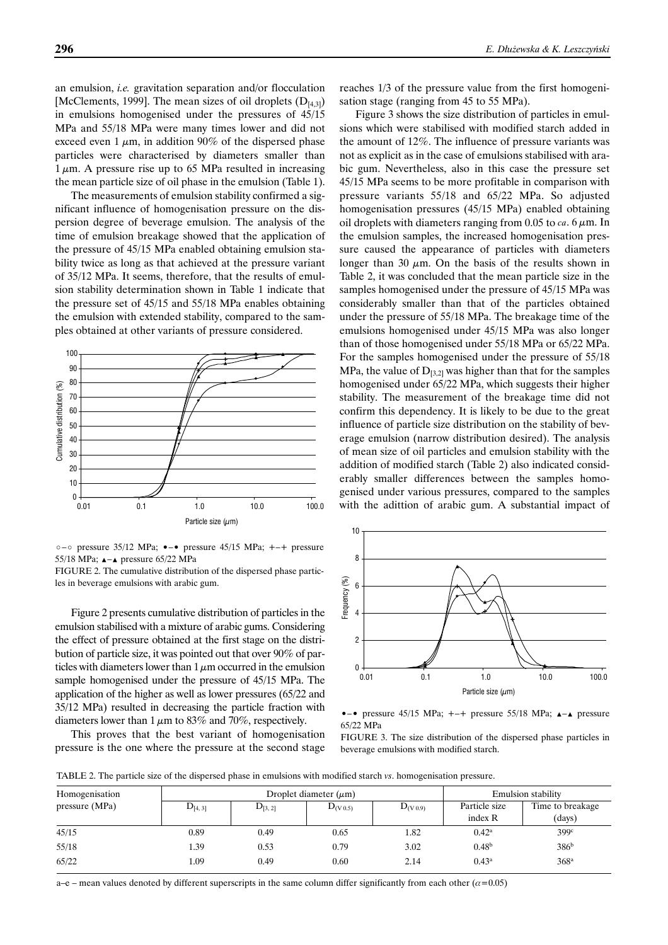an emulsion, *i.e.* gravitation separation and/or flocculation [McClements, 1999]. The mean sizes of oil droplets  $(D_{[4,3]})$ in emulsions homogenised under the pressures of 45/15 MPa and 55/18 MPa were many times lower and did not exceed even 1  $\mu$ m, in addition 90% of the dispersed phase particles were characterised by diameters smaller than  $1 \mu$ m. A pressure rise up to 65 MPa resulted in increasing the mean particle size of oil phase in the emulsion (Table 1).

The measurements of emulsion stability confirmed a significant influence of homogenisation pressure on the dispersion degree of beverage emulsion. The analysis of the time of emulsion breakage showed that the application of the pressure of 45/15 MPa enabled obtaining emulsion stability twice as long as that achieved at the pressure variant of 35/12 MPa. It seems, therefore, that the results of emulsion stability determination shown in Table 1 indicate that the pressure set of 45/15 and 55/18 MPa enables obtaining the emulsion with extended stability, compared to the samples obtained at other variants of pressure considered.



•–• pressure 35/12 MPa; •–• pressure 45/15 MPa; +–+ pressure 55/18 MPa; **A**-A pressure 65/22 MPa

FIGURE 2. The cumulative distribution of the dispersed phase particles in beverage emulsions with arabic gum.

Figure 2 presents cumulative distribution of particles in the emulsion stabilised with a mixture of arabic gums. Considering the effect of pressure obtained at the first stage on the distribution of particle size, it was pointed out that over 90% of particles with diameters lower than  $1 \mu m$  occurred in the emulsion sample homogenised under the pressure of 45/15 MPa. The application of the higher as well as lower pressures (65/22 and 35/12 MPa) resulted in decreasing the particle fraction with diameters lower than 1  $\mu$ m to 83% and 70%, respectively.

This proves that the best variant of homogenisation pressure is the one where the pressure at the second stage

reaches 1/3 of the pressure value from the first homogenisation stage (ranging from 45 to 55 MPa).

Figure 3 shows the size distribution of particles in emulsions which were stabilised with modified starch added in the amount of 12%. The influence of pressure variants was not as explicit as in the case of emulsions stabilised with arabic gum. Nevertheless, also in this case the pressure set 45/15 MPa seems to be more profitable in comparison with pressure variants 55/18 and 65/22 MPa. So adjusted homogenisation pressures (45/15 MPa) enabled obtaining oil droplets with diameters ranging from  $0.05$  to *ca*. 6  $\mu$ m. In the emulsion samples, the increased homogenisation pressure caused the appearance of particles with diameters longer than 30  $\mu$ m. On the basis of the results shown in Table 2, it was concluded that the mean particle size in the samples homogenised under the pressure of 45/15 MPa was considerably smaller than that of the particles obtained under the pressure of 55/18 MPa. The breakage time of the emulsions homogenised under 45/15 MPa was also longer than of those homogenised under 55/18 MPa or 65/22 MPa. For the samples homogenised under the pressure of 55/18 MPa, the value of  $D_{[3,2]}$  was higher than that for the samples homogenised under 65/22 MPa, which suggests their higher stability. The measurement of the breakage time did not confirm this dependency. It is likely to be due to the great influence of particle size distribution on the stability of beverage emulsion (narrow distribution desired). The analysis of mean size of oil particles and emulsion stability with the addition of modified starch (Table 2) also indicated considerably smaller differences between the samples homogenised under various pressures, compared to the samples with the adittion of arabic gum. A substantial impact of



•–• pressure 45/15 MPa;  $+-+$  pressure 55/18 MPa;  $\blacktriangle$  - $\blacktriangle$  pressure 65/22 MPa

FIGURE 3. The size distribution of the dispersed phase particles in beverage emulsions with modified starch.

TABLE 2. The particle size of the dispersed phase in emulsions with modified starch *vs*. homogenisation pressure.

| Homogenisation |             | Droplet diameter $(\mu m)$ | <b>Emulsion stability</b> |               |                   |                  |
|----------------|-------------|----------------------------|---------------------------|---------------|-------------------|------------------|
| pressure (MPa) | $D_{[4,3]}$ | $D_{[3, 2]}$               | $D_{(V 0.5)}$             | $D_{(V 0.9)}$ | Particle size     | Time to breakage |
|                |             |                            |                           |               | index R           | (days)           |
| 45/15          | 0.89        | 0.49                       | 0.65                      | 1.82          | $0.42^{\rm a}$    | 399c             |
| 55/18          | 1.39        | 0.53                       | 0.79                      | 3.02          | 0.48 <sup>b</sup> | 386 <sup>b</sup> |
| 65/22          | 1.09        | 0.49                       | 0.60                      | 2.14          | $0.43^{\rm a}$    | 368 <sup>a</sup> |

a–e – mean values denoted by different superscripts in the same column differ significantly from each other  $(\alpha=0.05)$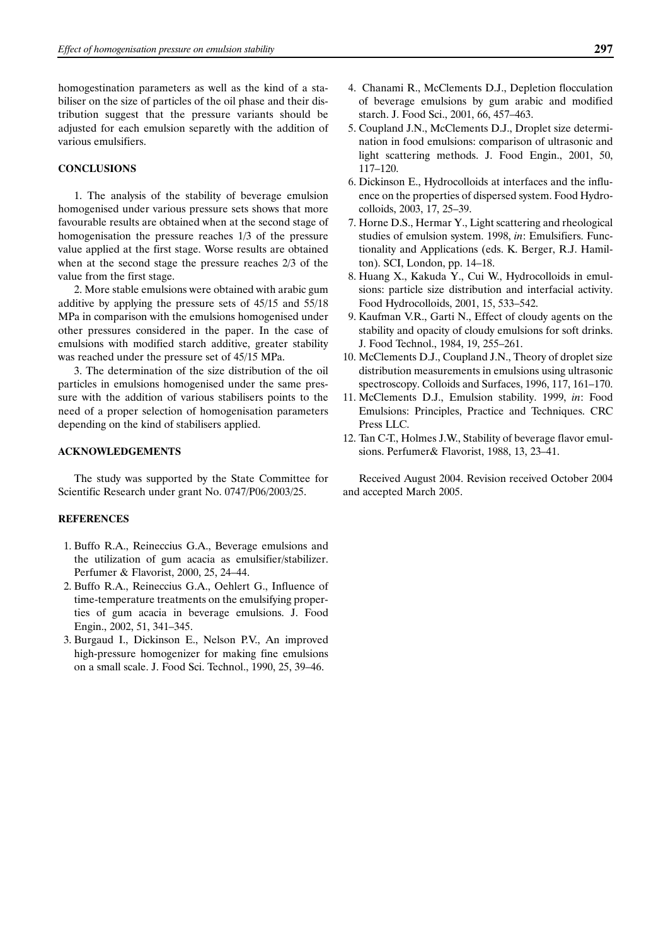homogestination parameters as well as the kind of a stabiliser on the size of particles of the oil phase and their distribution suggest that the pressure variants should be adjusted for each emulsion separetly with the addition of various emulsifiers.

## **CONCLUSIONS**

1. The analysis of the stability of beverage emulsion homogenised under various pressure sets shows that more favourable results are obtained when at the second stage of homogenisation the pressure reaches 1/3 of the pressure value applied at the first stage. Worse results are obtained when at the second stage the pressure reaches 2/3 of the value from the first stage.

2. More stable emulsions were obtained with arabic gum additive by applying the pressure sets of 45/15 and 55/18 MPa in comparison with the emulsions homogenised under other pressures considered in the paper. In the case of emulsions with modified starch additive, greater stability was reached under the pressure set of 45/15 MPa.

3. The determination of the size distribution of the oil particles in emulsions homogenised under the same pressure with the addition of various stabilisers points to the need of a proper selection of homogenisation parameters depending on the kind of stabilisers applied.

# **ACKNOWLEDGEMENTS**

The study was supported by the State Committee for Scientific Research under grant No. 0747/P06/2003/25.

#### **REFERENCES**

- 1. Buffo R.A., Reineccius G.A., Beverage emulsions and the utilization of gum acacia as emulsifier/stabilizer. Perfumer & Flavorist, 2000, 25, 24–44.
- 2. Buffo R.A., Reineccius G.A., Oehlert G., Influence of time-temperature treatments on the emulsifying properties of gum acacia in beverage emulsions. J. Food Engin., 2002, 51, 341–345.
- 3. Burgaud I., Dickinson E., Nelson P.V., An improved high-pressure homogenizer for making fine emulsions on a small scale. J. Food Sci. Technol., 1990, 25, 39–46.
- 4. Chanami R., McClements D.J., Depletion flocculation of beverage emulsions by gum arabic and modified starch. J. Food Sci., 2001, 66, 457–463.
- 5. Coupland J.N., McClements D.J., Droplet size determination in food emulsions: comparison of ultrasonic and light scattering methods. J. Food Engin., 2001, 50, 117–120.
- 6. Dickinson E., Hydrocolloids at interfaces and the influence on the properties of dispersed system. Food Hydrocolloids, 2003, 17, 25–39.
- 7. Horne D.S., Hermar Y., Light scattering and rheological studies of emulsion system. 1998, *in*: Emulsifiers. Functionality and Applications (eds. K. Berger, R.J. Hamilton). SCI, London, pp. 14–18.
- 8. Huang X., Kakuda Y., Cui W., Hydrocolloids in emulsions: particle size distribution and interfacial activity. Food Hydrocolloids, 2001, 15, 533–542.
- 9. Kaufman V.R., Garti N., Effect of cloudy agents on the stability and opacity of cloudy emulsions for soft drinks. J. Food Technol., 1984, 19, 255–261.
- 10. McClements D.J., Coupland J.N., Theory of droplet size distribution measurements in emulsions using ultrasonic spectroscopy. Colloids and Surfaces, 1996, 117, 161–170.
- 11. McClements D.J., Emulsion stability. 1999, *in*: Food Emulsions: Principles, Practice and Techniques. CRC Press LLC.
- 12. Tan C-T., Holmes J.W., Stability of beverage flavor emulsions. Perfumer& Flavorist, 1988, 13, 23–41.

Received August 2004. Revision received October 2004 and accepted March 2005.